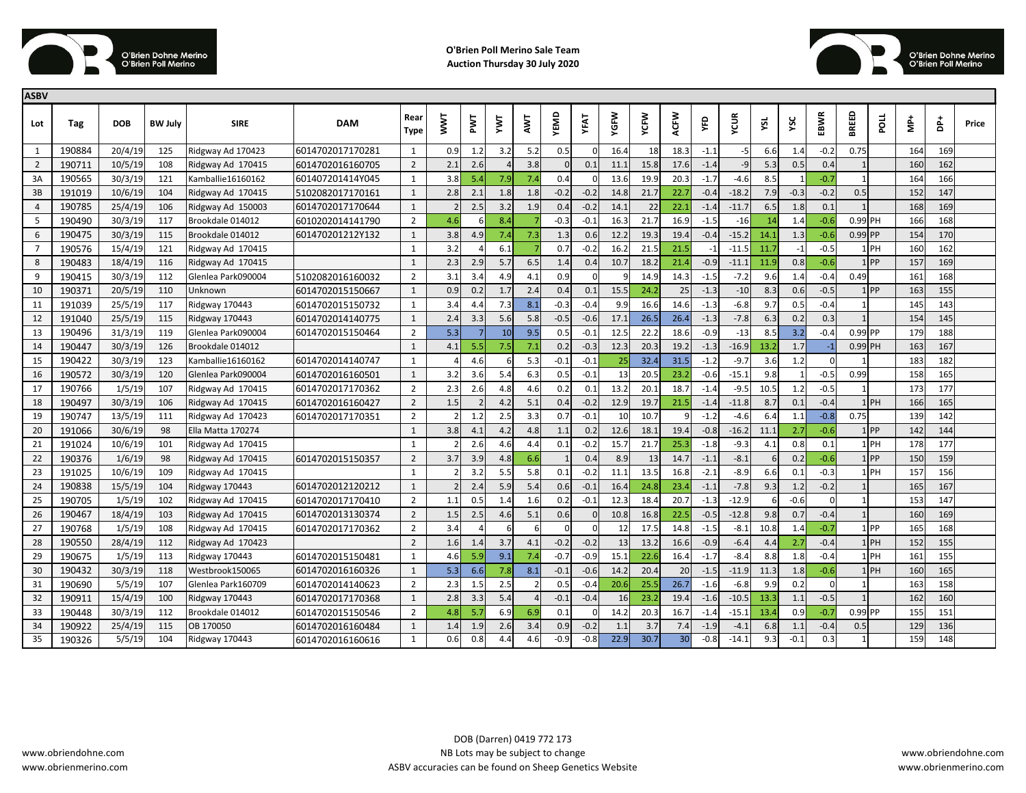

**O'Brien Poll Merino Sale Team Auction Thursday 30 July 2020**



| <b>ASBV</b>    |        |            |                |                    |                  |                     |                         |              |     |     |          |          |      |      |      |        |         |      |        |          |              |                   |        |     |       |
|----------------|--------|------------|----------------|--------------------|------------------|---------------------|-------------------------|--------------|-----|-----|----------|----------|------|------|------|--------|---------|------|--------|----------|--------------|-------------------|--------|-----|-------|
| Lot            | Tag    | <b>DOB</b> | <b>BW July</b> | <b>SIRE</b>        | <b>DAM</b>       | Rear<br><b>Type</b> | $\overline{\mathsf{S}}$ | ENL          | Σ   | EN  | YEMD     | YFAT     | YGFW | YCFW | ACFW | Ğ      | ycur    | λčι  | ΥSC    | EBWR     | BREED        | nod               | ∱<br>M | å   | Price |
| 1              | 190884 | 20/4/19    | 125            | Ridgway Ad 170423  | 6014702017170281 | 1                   | 0.9                     | 1.2          | 3.2 | 5.2 | 0.5      |          | 16.4 | 18   | 18.3 | $-1.1$ | -5      | 6.6  | 1.4    | $-0.2$   | 0.75         |                   | 164    | 169 |       |
| $\overline{2}$ | 190711 | 10/5/19    | 108            | Ridgway Ad 170415  | 6014702016160705 | $\overline{2}$      | 2.1                     | 2.6          |     | 3.8 | $\Omega$ | 0.1      | 11.1 | 15.8 | 17.6 | $-1.4$ | $-c$    | 5.3  | 0.5    | 0.4      |              |                   | 160    | 162 |       |
| 3A             | 190565 | 30/3/19    | 121            | Kamballie16160162  | 601407201414Y045 | $\mathbf{1}$        | 3.8                     | 5.4          | 7.9 | 7.4 | 0.4      |          | 13.6 | 19.9 | 20.3 | $-1.7$ | $-4.6$  | 8.5  |        | $-0.7$   |              |                   | 164    | 166 |       |
| 3B             | 191019 | 10/6/19    | 104            | Ridgway Ad 170415  | 5102082017170161 | 1                   | 2.8                     | 2.1          | 1.8 | 1.8 | $-0.2$   | $-0.2$   | 14.8 | 21.7 | 22.7 | $-0.4$ | $-18.2$ | 7.9  | $-0.3$ | $-0.2$   | 0.5          |                   | 152    | 147 |       |
| $\overline{4}$ | 190785 | 25/4/19    | 106            | Ridgway Ad 150003  | 6014702017170644 | $\mathbf{1}$        |                         | 2.5          | 3.2 | 1.9 | 0.4      | $-0.2$   | 14.1 | 22   | 22.1 | $-1.4$ | $-11.7$ | 6.5  | 1.8    | 0.1      |              |                   | 168    | 169 |       |
| 5              | 190490 | 30/3/19    | 117            | Brookdale 014012   | 6010202014141790 | $\overline{2}$      | 4.6                     |              | 8.4 |     | $-0.3$   | $-0.1$   | 16.3 | 21.7 | 16.9 | $-1.5$ | $-16$   | 14   | 1.4    | $-0.6$   | 0.99 PH      |                   | 166    | 168 |       |
| 6              | 190475 | 30/3/19    | 115            | Brookdale 014012   | 601470201212Y132 | $\mathbf{1}$        | 3.8                     | 4.9          | 7.4 | 7.3 | 1.3      | 0.6      | 12.2 | 19.3 | 19.4 | $-0.4$ | $-15.2$ | 14.1 | 1.3    | $-0.6$   | $0.99$ PP    |                   | 154    | 170 |       |
| $\overline{7}$ | 190576 | 15/4/19    | 121            | Ridgway Ad 170415  |                  | $\mathbf{1}$        | 3.2                     |              | 6.1 |     | 0.7      | $-0.2$   | 16.2 | 21.5 | 21.5 | -1     | $-11.5$ | 11.7 | $-1$   | $-0.5$   |              | $1$ PH            | 160    | 162 |       |
| 8              | 190483 | 18/4/19    | 116            | Ridgway Ad 170415  |                  | $\mathbf{1}$        | 2.3                     | 2.9          | 5.7 | 6.5 | 1.4      | 0.4      | 10.7 | 18.2 | 21.4 | $-0.9$ | $-11.1$ | 11.9 | 0.8    | $-0.6$   |              | $1$ <sub>PP</sub> | 157    | 169 |       |
| 9              | 190415 | 30/3/19    | 112            | Glenlea Park090004 | 5102082016160032 | $\overline{2}$      | 3.1                     | 3.4          | 4.9 | 4.1 | 0.9      | $\Omega$ |      | 14.9 | 14.3 | $-1.5$ | $-7.2$  | 9.6  | 1.4    | $-0.4$   | 0.49         |                   | 161    | 168 |       |
| 10             | 190371 | 20/5/19    | 110            | Unknown            | 6014702015150667 | $\mathbf{1}$        | 0.9                     | 0.2          | 1.7 | 2.4 | 0.4      | 0.1      | 15.5 | 24.2 | 25   | $-1.3$ | $-10$   | 8.3  | 0.6    | $-0.5$   |              | $1$ PP            | 163    | 155 |       |
| 11             | 191039 | 25/5/19    | 117            | Ridgway 170443     | 6014702015150732 | 1                   | 3.4                     | 4.4          | 7.3 | 8.1 | $-0.3$   | $-0.4$   | 9.9  | 16.6 | 14.6 | $-1.3$ | $-6.8$  | 9.7  | 0.5    | $-0.4$   |              |                   | 145    | 143 |       |
| 12             | 191040 | 25/5/19    | 115            | Ridgway 170443     | 6014702014140775 | $\mathbf{1}$        | 2.4                     | 3.3          | 5.6 | 5.8 | $-0.5$   | $-0.6$   | 17.1 | 26.5 | 26.4 | $-1.3$ | $-7.8$  | 6.3  | 0.2    | 0.3      |              |                   | 154    | 145 |       |
| 13             | 190496 | 31/3/19    | 119            | Glenlea Park090004 | 6014702015150464 | $\overline{2}$      | 5.3                     |              | 10  | 9.5 | 0.5      | $-0.1$   | 12.5 | 22.2 | 18.6 | $-0.9$ | $-13$   | 8.5  | 3.2    | $-0.4$   | 0.99 PP      |                   | 179    | 188 |       |
| 14             | 190447 | 30/3/19    | 126            | Brookdale 014012   |                  | 1                   | 4.1                     | 5.5          | 7.5 | 7.1 | 0.2      | $-0.3$   | 12.3 | 20.3 | 19.2 | $-1.3$ | $-16.9$ | 13.2 | 1.7    | $-1$     | 0.99 PH      |                   | 163    | 167 |       |
| 15             | 190422 | 30/3/19    | 123            | Kamballie16160162  | 6014702014140747 | 1                   |                         | 4.6          | հ   | 5.3 | $-0.1$   | $-0.1$   | 25   | 32.4 | 31.5 | $-1.2$ | $-9.7$  | 3.6  | 1.2    | - C      |              |                   | 183    | 182 |       |
| 16             | 190572 | 30/3/19    | 120            | Glenlea Park090004 | 6014702016160501 | $\mathbf{1}$        | 3.2                     | 3.6          | 5.4 | 6.3 | 0.5      | $-0.1$   | 13   | 20.5 | 23.2 | $-0.6$ | $-15.1$ | 9.8  |        | $-0.5$   | 0.99         |                   | 158    | 165 |       |
| 17             | 190766 | 1/5/19     | 107            | Ridgway Ad 170415  | 6014702017170362 | $\overline{2}$      | 2.3                     | 2.6          | 4.8 | 4.6 | 0.2      | 0.1      | 13.2 | 20.1 | 18.7 | $-1.4$ | $-9.5$  | 10.5 | 1.2    | $-0.5$   |              |                   | 173    | 177 |       |
| 18             | 190497 | 30/3/19    | 106            | Ridgway Ad 170415  | 6014702016160427 | $\overline{2}$      | 1.5                     |              | 4.2 | 5.1 | 0.4      | $-0.2$   | 12.9 | 19.7 | 21.5 | $-1.4$ | $-11.8$ | 8.7  | 0.1    | $-0.4$   |              | $1$ PH            | 166    | 165 |       |
| 19             | 190747 | 13/5/19    | 111            | Ridgway Ad 170423  | 6014702017170351 | $\overline{2}$      |                         | 1.2          | 2.5 | 3.3 | 0.7      | $-0.1$   | 10   | 10.7 |      | $-1.2$ | $-4.6$  | 6.4  | 1.1    | $-0.8$   | 0.75         |                   | 139    | 142 |       |
| 20             | 191066 | 30/6/19    | 98             | Ella Matta 170274  |                  | $\mathbf{1}$        | 3.8                     | 4.1          | 4.2 | 4.8 | 1.1      | 0.2      | 12.6 | 18.1 | 19.4 | $-0.8$ | $-16.2$ | 11.1 | 2.7    | $-0.6$   |              | 1 PP              | 142    | 144 |       |
| 21             | 191024 | 10/6/19    | 101            | Ridgway Ad 170415  |                  | $\mathbf{1}$        |                         | 2.6          | 4.6 | 4.4 | 0.1      | $-0.2$   | 15.7 | 21.7 | 25.3 | $-1.8$ | $-9.3$  | 4.1  | 0.8    | 0.1      |              | <b>PH</b>         | 178    | 177 |       |
| 22             | 190376 | 1/6/19     | 98             | Ridgway Ad 170415  | 6014702015150357 | $\overline{2}$      | 3.7                     | 3.9          | 4.8 | 6.6 | 1        | 0.4      | 8.9  | 13   | 14.7 | $-1.1$ | $-8.1$  |      | 0.2    | $-0.6$   |              | $1$ PP            | 150    | 159 |       |
| 23             | 191025 | 10/6/19    | 109            | Ridgway Ad 170415  |                  | $\mathbf{1}$        |                         | 3.2          | 5.5 | 5.8 | 0.1      | $-0.2$   | 11.1 | 13.5 | 16.8 | $-2.1$ | $-8.9$  | 6.6  | 0.1    | $-0.3$   |              | 1 PH              | 157    | 156 |       |
| 24             | 190838 | 15/5/19    | 104            | Ridgway 170443     | 6014702012120212 | $\mathbf{1}$        |                         | 2.4          | 5.9 | 5.4 | 0.6      | $-0.1$   | 16.4 | 24.8 | 23.4 | $-1.1$ | $-7.8$  | 9.3  | 1.2    | $-0.2$   |              |                   | 165    | 167 |       |
| 25             | 190705 | 1/5/19     | 102            | Ridgway Ad 170415  | 6014702017170410 | $\overline{2}$      | 1.1                     | 0.5          | 1.4 | 1.6 | 0.2      | $-0.1$   | 12.3 | 18.4 | 20.7 | $-1.3$ | $-12.9$ |      | $-0.6$ | $\Omega$ |              |                   | 153    | 147 |       |
| 26             | 190467 | 18/4/19    | 103            | Ridgway Ad 170415  | 6014702013130374 | $\overline{2}$      | 1.5                     | 2.5          | 4.6 | 5.1 | 0.6      |          | 10.8 | 16.8 | 22.5 | $-0.5$ | $-12.8$ | 9.8  | 0.7    | $-0.4$   | $\mathbf{1}$ |                   | 160    | 169 |       |
| 27             | 190768 | 1/5/19     | 108            | Ridgway Ad 170415  | 6014702017170362 | $\overline{2}$      | 3.4                     |              | 6   |     | $\Omega$ | $\Omega$ | 12   | 17.5 | 14.8 | $-1.5$ | $-8.1$  | 10.8 | 1.4    | $-0.7$   |              | 1 PP              | 165    | 168 |       |
| 28             | 190550 | 28/4/19    | 112            | Ridgway Ad 170423  |                  | $\overline{2}$      | 1.6                     | $\mathbf{1}$ | 3.7 | 4.1 | $-0.2$   | $-0.2$   | 13   | 13.2 | 16.6 | $-0.9$ | $-6.4$  | 4.4  | 2.7    | $-0.4$   |              | 1 PH              | 152    | 155 |       |
| 29             | 190675 | 1/5/19     | 113            | Ridgway 170443     | 6014702015150481 | $\mathbf{1}$        | 4.6                     | 5.9          | 9.1 | 7.4 | $-0.7$   | $-0.9$   | 15.1 | 22.6 | 16.4 | $-1.7$ | $-8.4$  | 8.8  | 1.8    | $-0.4$   |              | <b>PH</b>         | 161    | 155 |       |
| 30             | 190432 | 30/3/19    | 118            | Westbrook150065    | 6014702016160326 | $\mathbf{1}$        | 5.3                     | 6.6          | 7.8 | 8.1 | $-0.1$   | $-0.6$   | 14.2 | 20.4 | 20   | $-1.5$ | $-11.9$ | 11.3 | 1.8    | $-0.6$   |              | $1$ PH            | 160    | 165 |       |
| 31             | 190690 | 5/5/19     | 107            | Glenlea Park160709 | 6014702014140623 | $\overline{2}$      | 2.3                     | 1.5          | 2.5 |     | 0.5      | $-0.4$   | 20.6 | 25.  | 26.7 | $-1.6$ | $-6.8$  | 9.9  | 0.2    | $\Omega$ |              |                   | 163    | 158 |       |
| 32             | 190911 | 15/4/19    | 100            | Ridgway 170443     | 6014702017170368 | $\mathbf{1}$        | 2.8                     | 3.3          | 5.4 |     | $-0.1$   | $-0.4$   | 16   | 23.2 | 19.4 | $-1.6$ | $-10.5$ | 13.3 | 1.1    | $-0.5$   |              |                   | 162    | 160 |       |
| 33             | 190448 | 30/3/19    | 112            | Brookdale 014012   | 6014702015150546 | $\overline{2}$      | 4.8                     | 5.7          | 6.9 | 6.9 | 0.1      | $\Omega$ | 14.2 | 20.3 | 16.7 | $-1.4$ | $-15.1$ | 13.4 | 0.9    | $-0.7$   | 0.99 PP      |                   | 155    | 151 |       |
| 34             | 190922 | 25/4/19    | 115            | OB 170050          | 6014702016160484 | 1                   | 1.4                     | -1.9         | 2.6 | 3.4 | 0.9      | $-0.2$   | 1.1  | 3.7  | 7.4  | $-1.9$ | $-4.1$  | 6.8  | 1.1    | $-0.4$   | 0.5          |                   | 129    | 136 |       |
| 35             | 190326 | 5/5/19     | 104            | Ridgway 170443     | 6014702016160616 | $\mathbf{1}$        | 0.6                     | 0.8          | 4.4 | 4.6 | $-0.9$   | $-0.8$   | 22.9 | 30.7 | 30   | $-0.8$ | $-14.1$ | 9.3  | $-0.1$ | 0.3      | 1            |                   | 159    | 148 |       |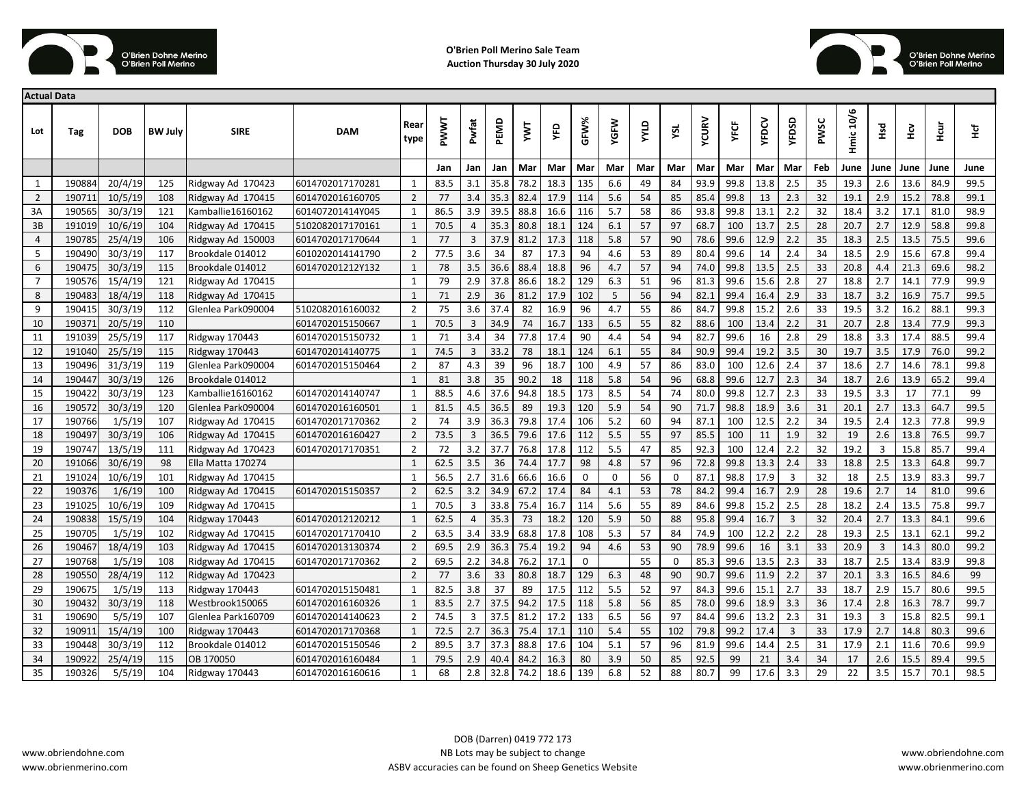



| <b>Actual Data</b> |        |            |                |                       |                  |                |             |                |      |      |      |      |             |             |     |              |             |              |       |      |                  |                |      |      |      |
|--------------------|--------|------------|----------------|-----------------------|------------------|----------------|-------------|----------------|------|------|------|------|-------------|-------------|-----|--------------|-------------|--------------|-------|------|------------------|----------------|------|------|------|
| Lot                | Tag    | <b>DOB</b> | <b>BW July</b> | <b>SIRE</b>           | <b>DAM</b>       | Rear<br>type   | <b>PWWT</b> | Pwfat          | PEMD | ξ    | ΥFD  | GFW% | <b>YGFW</b> | <b>AINA</b> | YSL | <b>YCURV</b> | <b>YFCF</b> | <b>ALDCA</b> | YFDSD | PWSC | <b>Hmic 10/6</b> | РSД            | ŠУ   | Hcur | Тă   |
|                    |        |            |                |                       |                  |                | Jan         | Jan            | Jan  | Mar  | Mar  | Mar  | Mar         | Mar         | Mar | Mar          | Mar         | Mar          | Mar   | Feb  | June             | June           | June | June | June |
| 1                  | 190884 | 20/4/19    | 125            | Ridgway Ad 170423     | 6014702017170281 | 1              | 83.5        | 3.1            | 35.8 | 78.2 | 18.3 | 135  | 6.6         | 49          | 84  | 93.9         | 99.8        | 13.8         | 2.5   | 35   | 19.3             | 2.6            | 13.6 | 84.9 | 99.5 |
| $\overline{2}$     | 190711 | 10/5/19    | 108            | Ridgway Ad 170415     | 6014702016160705 | $\overline{2}$ | 77          | 3.4            | 35.3 | 82.4 | 17.9 | 114  | 5.6         | 54          | 85  | 85.4         | 99.8        | 13           | 2.3   | 32   | 19.1             | 2.9            | 15.2 | 78.8 | 99.1 |
| 3A                 | 190565 | 30/3/19    | 121            | Kamballie 16160162    | 601407201414Y045 | $\mathbf{1}$   | 86.5        | 3.9            | 39.5 | 88.8 | 16.6 | 116  | 5.7         | 58          | 86  | 93.8         | 99.8        | 13.1         | 2.2   | 32   | 18.4             | 3.2            | 17.1 | 81.0 | 98.9 |
| 3B                 | 191019 | 10/6/19    | 104            | Ridgway Ad 170415     | 5102082017170161 | $\mathbf{1}$   | 70.5        | $\overline{4}$ | 35.3 | 80.8 | 18.1 | 124  | 6.1         | 57          | 97  | 68.7         | 100         | 13.7         | 2.5   | 28   | 20.7             | 2.7            | 12.9 | 58.8 | 99.8 |
| 4                  | 190785 | 25/4/19    | 106            | Ridgway Ad 150003     | 6014702017170644 | $\mathbf{1}$   | 77          | 3              | 37.9 | 81.2 | 17.3 | 118  | 5.8         | 57          | 90  | 78.6         | 99.6        | 12.9         | 2.2   | 35   | 18.3             | 2.5            | 13.5 | 75.5 | 99.6 |
| 5                  | 190490 | 30/3/19    | 117            | Brookdale 014012      | 6010202014141790 | $\overline{2}$ | 77.5        | 3.6            | 34   | 87   | 17.3 | 94   | 4.6         | 53          | 89  | 80.4         | 99.6        | 14           | 2.4   | 34   | 18.5             | 2.9            | 15.6 | 67.8 | 99.4 |
| 6                  | 190475 | 30/3/19    | 115            | Brookdale 014012      | 601470201212Y132 | $\mathbf{1}$   | 78          | 3.5            | 36.6 | 88.4 | 18.8 | 96   | 4.7         | 57          | 94  | 74.0         | 99.8        | 13.5         | 2.5   | 33   | 20.8             | 4.4            | 21.3 | 69.6 | 98.2 |
| $\overline{7}$     | 190576 | 15/4/19    | 121            | Ridgway Ad 170415     |                  | $\mathbf{1}$   | 79          | 2.9            | 37.8 | 86.6 | 18.2 | 129  | 6.3         | 51          | 96  | 81.3         | 99.6        | 15.6         | 2.8   | 27   | 18.8             | 2.7            | 14.1 | 77.9 | 99.9 |
| 8                  | 190483 | 18/4/19    | 118            | Ridgway Ad 170415     |                  | $\mathbf{1}$   | 71          | 2.9            | 36   | 81.2 | 17.9 | 102  | 5           | 56          | 94  | 82.1         | 99.4        | 16.4         | 2.9   | 33   | 18.7             | 3.2            | 16.9 | 75.7 | 99.5 |
| 9                  | 190415 | 30/3/19    | 112            | Glenlea Park090004    | 5102082016160032 | $\overline{2}$ | 75          | 3.6            | 37.4 | 82   | 16.9 | 96   | 4.7         | 55          | 86  | 84.7         | 99.8        | 15.2         | 2.6   | 33   | 19.5             | 3.2            | 16.2 | 88.1 | 99.3 |
| 10                 | 190371 | 20/5/19    | 110            |                       | 6014702015150667 | $\mathbf{1}$   | 70.5        | $\overline{3}$ | 34.9 | 74   | 16.7 | 133  | 6.5         | 55          | 82  | 88.6         | 100         | 13.4         | 2.2   | 31   | 20.7             | 2.8            | 13.4 | 77.9 | 99.3 |
| 11                 | 191039 | 25/5/19    | 117            | <b>Ridgway 170443</b> | 6014702015150732 | $\mathbf{1}$   | 71          | 3.4            | 34   | 77.8 | 17.4 | 90   | 4.4         | 54          | 94  | 82.7         | 99.6        | 16           | 2.8   | 29   | 18.8             | 3.3            | 17.4 | 88.5 | 99.4 |
| 12                 | 191040 | 25/5/19    | 115            | Ridgway 170443        | 6014702014140775 | $\mathbf{1}$   | 74.5        | 3              | 33.2 | 78   | 18.1 | 124  | 6.1         | 55          | 84  | 90.9         | 99.4        | 19.2         | 3.5   | 30   | 19.7             | 3.5            | 17.9 | 76.0 | 99.2 |
| 13                 | 190496 | 31/3/19    | 119            | Glenlea Park090004    | 6014702015150464 | $\overline{2}$ | 87          | 4.3            | 39   | 96   | 18.7 | 100  | 4.9         | 57          | 86  | 83.0         | 100         | 12.6         | 2.4   | 37   | 18.6             | 2.7            | 14.6 | 78.1 | 99.8 |
| 14                 | 190447 | 30/3/19    | 126            | Brookdale 014012      |                  | $\mathbf{1}$   | 81          | 3.8            | 35   | 90.2 | 18   | 118  | 5.8         | 54          | 96  | 68.8         | 99.6        | 12.7         | 2.3   | 34   | 18.7             | 2.6            | 13.9 | 65.2 | 99.4 |
| 15                 | 190422 | 30/3/19    | 123            | Kamballie16160162     | 6014702014140747 | $\mathbf{1}$   | 88.5        | 4.6            | 37.6 | 94.8 | 18.5 | 173  | 8.5         | 54          | 74  | 80.0         | 99.8        | 12.7         | 2.3   | 33   | 19.5             | 3.3            | 17   | 77.1 | 99   |
| 16                 | 190572 | 30/3/19    | 120            | Glenlea Park090004    | 6014702016160501 | $\mathbf{1}$   | 81.5        | 4.5            | 36.5 | 89   | 19.3 | 120  | 5.9         | 54          | 90  | 71.7         | 98.8        | 18.9         | 3.6   | 31   | 20.1             | 2.7            | 13.3 | 64.7 | 99.5 |
| 17                 | 190766 | 1/5/19     | 107            | Ridgway Ad 170415     | 6014702017170362 | $\overline{2}$ | 74          | 3.9            | 36.3 | 79.8 | 17.4 | 106  | 5.2         | 60          | 94  | 87.1         | 100         | 12.5         | 2.2   | 34   | 19.5             | 2.4            | 12.3 | 77.8 | 99.9 |
| 18                 | 190497 | 30/3/19    | 106            | Ridgway Ad 170415     | 6014702016160427 | $\overline{2}$ | 73.5        | 3              | 36.5 | 79.6 | 17.6 | 112  | 5.5         | 55          | 97  | 85.5         | 100         | 11           | 1.9   | 32   | 19               | 2.6            | 13.8 | 76.5 | 99.7 |
| 19                 | 190747 | 13/5/19    | 111            | Ridgway Ad 170423     | 6014702017170351 | $\overline{2}$ | 72          | 3.2            | 37.7 | 76.8 | 17.8 | 112  | 5.5         | 47          | 85  | 92.3         | 100         | 12.4         | 2.2   | 32   | 19.2             | 3              | 15.8 | 85.7 | 99.4 |
| 20                 | 191066 | 30/6/19    | 98             | Ella Matta 170274     |                  | $\mathbf{1}$   | 62.5        | 3.5            | 36   | 74.4 | 17.7 | 98   | 4.8         | 57          | 96  | 72.8         | 99.8        | 13.3         | 2.4   | 33   | 18.8             | 2.5            | 13.3 | 64.8 | 99.7 |
| 21                 | 191024 | 10/6/19    | 101            | Ridgway Ad 170415     |                  | 1              | 56.5        | 2.7            | 31.6 | 66.6 | 16.6 | 0    | 0           | 56          | 0   | 87.1         | 98.8        | 17.9         | 3     | 32   | 18               | 2.5            | 13.9 | 83.3 | 99.7 |
| 22                 | 190376 | 1/6/19     | 100            | Ridgway Ad 170415     | 6014702015150357 | $\overline{2}$ | 62.5        | 3.2            | 34.9 | 67.2 | 17.4 | 84   | 4.1         | 53          | 78  | 84.2         | 99.4        | 16.7         | 2.9   | 28   | 19.6             | 2.7            | 14   | 81.0 | 99.6 |
| 23                 | 191025 | 10/6/19    | 109            | Ridgway Ad 170415     |                  | $\mathbf{1}$   | 70.5        | 3              | 33.8 | 75.4 | 16.7 | 114  | 5.6         | 55          | 89  | 84.6         | 99.8        | 15.2         | 2.5   | 28   | 18.2             | 2.4            | 13.5 | 75.8 | 99.7 |
| 24                 | 190838 | 15/5/19    | 104            | <b>Ridgway 170443</b> | 6014702012120212 | $\mathbf{1}$   | 62.5        | $\overline{4}$ | 35.3 | 73   | 18.2 | 120  | 5.9         | 50          | 88  | 95.8         | 99.4        | 16.7         | 3     | 32   | 20.4             | 2.7            | 13.3 | 84.1 | 99.6 |
| 25                 | 190705 | 1/5/19     | 102            | Ridgway Ad 170415     | 6014702017170410 | $\overline{2}$ | 63.5        | 3.4            | 33.9 | 68.8 | 17.8 | 108  | 5.3         | 57          | 84  | 74.9         | 100         | 12.2         | 2.2   | 28   | 19.3             | 2.5            | 13.1 | 62.1 | 99.2 |
| 26                 | 190467 | 18/4/19    | 103            | Ridgway Ad 170415     | 6014702013130374 | $\overline{2}$ | 69.5        | 2.9            | 36.3 | 75.4 | 19.2 | 94   | 4.6         | 53          | 90  | 78.9         | 99.6        | 16           | 3.1   | 33   | 20.9             | $\overline{3}$ | 14.3 | 80.0 | 99.2 |
| 27                 | 190768 | 1/5/19     | 108            | Ridgway Ad 170415     | 6014702017170362 | $\overline{2}$ | 69.5        | 2.2            | 34.8 | 76.2 | 17.1 | 0    |             | 55          | 0   | 85.3         | 99.6        | 13.5         | 2.3   | 33   | 18.7             | 2.5            | 13.4 | 83.9 | 99.8 |
| 28                 | 190550 | 28/4/19    | 112            | Ridgway Ad 170423     |                  | $\overline{2}$ | 77          | 3.6            | 33   | 80.8 | 18.7 | 129  | 6.3         | 48          | 90  | 90.7         | 99.6        | 11.9         | 2.2   | 37   | 20.1             | 3.3            | 16.5 | 84.6 | 99   |
| 29                 | 190675 | 1/5/19     | 113            | Ridgway 170443        | 6014702015150481 | $\mathbf{1}$   | 82.5        | 3.8            | 37   | 89   | 17.5 | 112  | 5.5         | 52          | 97  | 84.3         | 99.6        | 15.1         | 2.7   | 33   | 18.7             | 2.9            | 15.7 | 80.6 | 99.5 |
| 30                 | 190432 | 30/3/19    | 118            | Westbrook150065       | 6014702016160326 | $\mathbf{1}$   | 83.5        | 2.7            | 37.5 | 94.2 | 17.5 | 118  | 5.8         | 56          | 85  | 78.0         | 99.6        | 18.9         | 3.3   | 36   | 17.4             | 2.8            | 16.3 | 78.7 | 99.7 |
| 31                 | 190690 | 5/5/19     | 107            | Glenlea Park160709    | 6014702014140623 | $\overline{2}$ | 74.5        | 3              | 37.5 | 81.2 | 17.2 | 133  | 6.5         | 56          | 97  | 84.4         | 99.6        | 13.2         | 2.3   | 31   | 19.3             | 3              | 15.8 | 82.5 | 99.1 |
| 32                 | 190911 | 15/4/19    | 100            | Ridgway 170443        | 6014702017170368 | $\mathbf{1}$   | 72.5        | 2.7            | 36.3 | 75.4 | 17.1 | 110  | 5.4         | 55          | 102 | 79.8         | 99.2        | 17.4         | 3     | 33   | 17.9             | 2.7            | 14.8 | 80.3 | 99.6 |
| 33                 | 190448 | 30/3/19    | 112            | Brookdale 014012      | 6014702015150546 | $\overline{2}$ | 89.5        | 3.7            | 37.3 | 88.8 | 17.6 | 104  | 5.1         | 57          | 96  | 81.9         | 99.6        | 14.4         | 2.5   | 31   | 17.9             | 2.1            | 11.6 | 70.6 | 99.9 |
| 34                 | 190922 | 25/4/19    | 115            | OB 170050             | 6014702016160484 | $\mathbf{1}$   | 79.5        | 2.9            | 40.4 | 84.2 | 16.3 | 80   | 3.9         | 50          | 85  | 92.5         | 99          | 21           | 3.4   | 34   | 17               | 2.6            | 15.5 | 89.4 | 99.5 |
| 35                 | 190326 | 5/5/19     | 104            | <b>Ridgway 170443</b> | 6014702016160616 | $\mathbf{1}$   | 68          | 2.8            | 32.8 | 74.2 | 18.6 | 139  | 6.8         | 52          | 88  | 80.7         | 99          | 17.6         | 3.3   | 29   | 22               | 3.5            | 15.7 | 70.1 | 98.5 |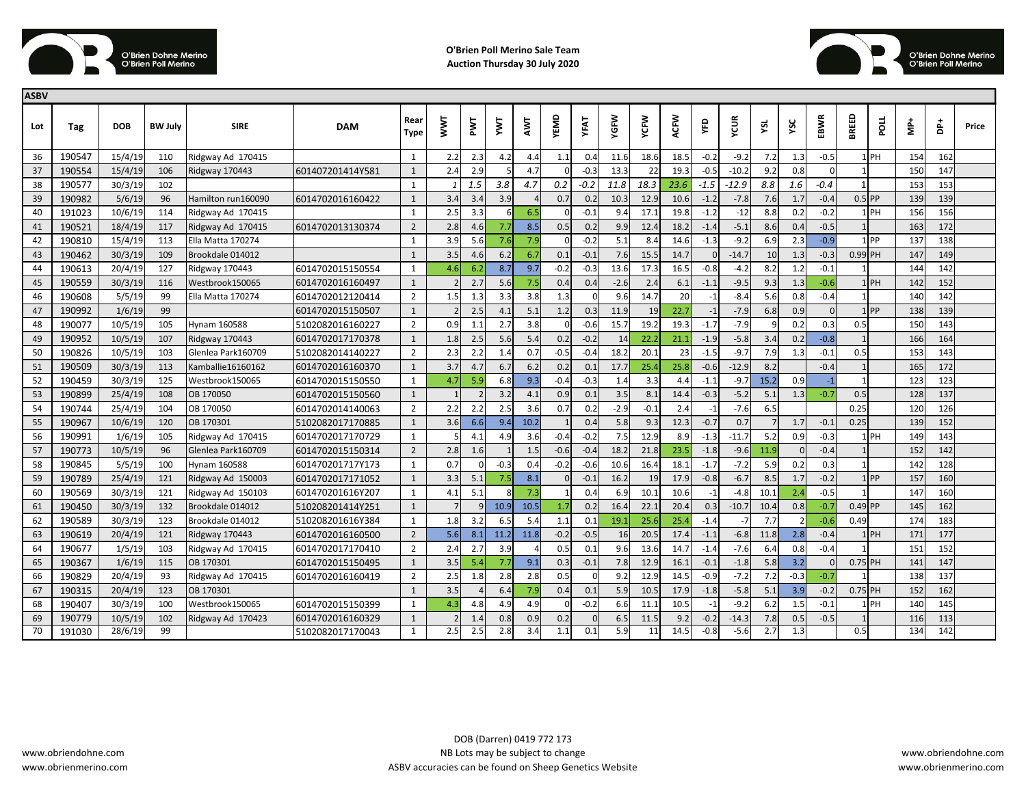



| <b>ASBV</b> |        |            |                |                    |                  |                |             |     |        |      |            |        |        |             |      |        |         |                |          |          |                |          |     |                    |       |
|-------------|--------|------------|----------------|--------------------|------------------|----------------|-------------|-----|--------|------|------------|--------|--------|-------------|------|--------|---------|----------------|----------|----------|----------------|----------|-----|--------------------|-------|
| Lot         | Tag    | <b>DOB</b> | <b>BW July</b> | <b>SIRE</b>        | <b>DAM</b>       | Rear<br>Type   | <b>NVNL</b> | PWT | ΣY     | AWT  | YEMD       | YFAT   | YGFW   | <b>YCFW</b> | ACFW | χED    | YCUR    | ysL            | YSC      | EBWR     | BREED          | mod      | ÷   | $\frac{1}{\Delta}$ | Price |
| 36          | 190547 | 15/4/19    | 110            | Ridgway Ad 170415  |                  | 1              | 2.2         | 2.3 | 4.2    | 4.4  | 1.1        | 0.4    | 11.6   | 18.6        | 18.5 | $-0.2$ | $-9.2$  | 7.2            | 1.3      | $-0.5$   |                | $1$ PH   | 154 | 162                |       |
| 37          | 190554 | 15/4/19    | 106            | Ridgway 170443     | 601407201414Y581 | $\mathbf{1}$   | 2.4         | 2.9 |        | 4.7  |            | $-0.3$ | 13.3   | 22          | 19.3 | $-0.5$ | $-10.2$ | 9.2            | 0.8      |          |                |          | 150 | 147                |       |
| 38          | 190577 | 30/3/19    | 102            |                    |                  | 1              |             | 1.5 | 3.8    | 4.7  | 0.2        | $-0.2$ | 11.8   | 18.3        | 23.6 | $-1.5$ | $-12.9$ | 8.8            | 1.6      | $-0.4$   | 1 <sup>1</sup> |          | 153 | 153                |       |
| 39          | 190982 | 5/6/19     | 96             | Hamilton run160090 | 6014702016160422 | $\mathbf{1}$   | 3.4         | 3.4 | 3.9    |      | 0.7        | 0.2    | 10.3   | 12.9        | 10.6 | $-1.2$ | $-7.8$  | 7.6            | 1.7      | $-0.4$   | $0.5$ PP       |          | 139 | 139                |       |
| 40          | 191023 | 10/6/19    | 114            | Ridgway Ad 170415  |                  | $\mathbf{1}$   | 2.5         | 3.3 | 6      | 6.5  |            | $-0.1$ | 9.4    | 17.1        | 19.8 | $-1.2$ | $-12$   | 8.8            | 0.2      | $-0.2$   |                | $1$ PH   | 156 | 156                |       |
| 41          | 190521 | 18/4/19    | 117            | Ridgway Ad 170415  | 6014702013130374 | $\overline{2}$ | 2.8         | 4.6 | 7.7    | 8.5  | 0.5        | 0.2    | 9.9    | 12.4        | 18.2 | $-1.4$ | $-5.1$  | 8.6            | 0.4      | $-0.5$   | 1              |          | 163 | 172                |       |
| 42          | 190810 | 15/4/19    | 113            | Ella Matta 170274  |                  | $\mathbf{1}$   | 3.9         | 5.6 | 7.6    | 7.9  | $\sqrt{ }$ | $-0.2$ | 5.1    | 8.4         | 14.6 | $-1.3$ | $-9.2$  | 6.9            | 2.3      | $-0.9$   |                | 1 PP     | 137 | 138                |       |
| 43          | 190462 | 30/3/19    | 109            | Brookdale 014012   |                  | $\mathbf{1}$   | 3.5         | 4.6 | 6.2    | 6.7  | 0.1        | $-0.2$ | 7.6    | 15.5        | 14.7 |        | $-14.7$ | 10             | 1.3      | $-0.3$   | 0.99 PH        |          | 147 | 149                |       |
| 44          | 190613 | 20/4/19    | 127            | Ridgway 170443     | 6014702015150554 | $\mathbf{1}$   | 4.6         | 6.2 | 8.7    | 9.7  | $-0.2$     | $-0.3$ | 13.6   | 17.3        | 16.5 | $-0.8$ | $-4.2$  | 8.2            | 1.2      | $-0.1$   |                |          | 144 | 142                |       |
| 45          | 190559 | 30/3/19    | 116            | Westbrook150065    | 6014702016160497 | $\mathbf{1}$   |             | 2.7 | 5.6    | 7.5  | 0.4        | 0.4    | $-2.6$ | 2.4         | 6.1  | $-1.1$ | $-9.5$  | 9.3            | 1.3      | $-0.6$   |                | $1$ $PH$ | 142 | 152                |       |
| 46          | 190608 | 5/5/19     | 99             | Ella Matta 170274  | 6014702012120414 | $\overline{2}$ | 1.5         | 1.3 | 3.3    | 3.8  | 1.3        |        | 9.6    | 14.7        | 20   | $-1$   | $-8.4$  | 5.6            | 0.8      | $-0.4$   | 1              |          | 140 | 142                |       |
| 47          | 190992 | 1/6/19     | 99             |                    | 6014702015150507 | $\mathbf{1}$   |             | 2.5 | 4.1    | 5.1  | 1.2        | 0.3    | 11.9   | 19          | 22.7 | $-1$   | $-7.9$  | 6.8            | 0.9      | $\Omega$ |                | 1 PP     | 138 | 139                |       |
| 48          | 190077 | 10/5/19    | 105            | Hynam 160588       | 5102082016160227 | $\overline{2}$ | 0.9         | 1.1 | 2.7    | 3.8  |            | $-0.6$ | 15.7   | 19.2        | 19.3 | $-1.7$ | $-7.9$  | q              | 0.2      | 0.3      | 0.5            |          | 150 | 143                |       |
| 49          | 190952 | 10/5/19    | 107            | Ridgway 170443     | 6014702017170378 | $\mathbf{1}$   | 1.8         | 2.5 | 5.6    | 5.4  | 0.2        | $-0.2$ | 14     | 22.2        | 21.1 | $-1.9$ | $-5.8$  | 3.4            | 0.2      | $-0.8$   |                |          | 166 | 164                |       |
| 50          | 190826 | 10/5/19    | 103            | Glenlea Park160709 | 5102082014140227 | $\overline{2}$ | 2.3         | 2.2 | 1.4    | 0.7  | $-0.5$     | $-0.4$ | 18.2   | 20.1        | 23   | $-1.5$ | $-9.7$  | 7.9            | 1.3      | $-0.1$   | 0.5            |          | 153 | 143                |       |
| 51          | 190509 | 30/3/19    | 113            | Kamballie16160162  | 6014702016160370 | $\mathbf{1}$   | 3.7         | 4.7 | 6.7    | 6.2  | 0.2        | 0.1    | 17.7   | 25.4        | 25.8 | $-0.6$ | $-12.9$ | 8.2            |          | $-0.4$   | $\mathbf{1}$   |          | 165 | 172                |       |
| 52          | 190459 | 30/3/19    | 125            | Westbrook150065    | 6014702015150550 | $\mathbf{1}$   | 4.7         | 5.9 | 6.8    | 9.3  | $-0.4$     | $-0.3$ | 1.4    | 3.3         | 4.4  | $-1.1$ | $-9.7$  | 15.2           | 0.9      | $-1$     | $\mathbf{1}$   |          | 123 | 123                |       |
| 53          | 190899 | 25/4/19    | 108            | OB 170050          | 6014702015150560 | $\mathbf{1}$   |             |     | 3.2    | 4.1  | 0.9        | 0.1    | 3.5    | 8.1         | 14.4 | $-0.3$ | $-5.2$  | 5.1            | 1.3      | $-0.7$   | 0.5            |          | 128 | 137                |       |
| 54          | 190744 | 25/4/19    | 104            | OB 170050          | 6014702014140063 | $\overline{2}$ | 2.2         |     | 2.5    | 3.6  | 0.7        | 0.2    | $-2.9$ | $-0.1$      | 2.4  |        | $-7.6$  | 6.5            |          |          | 0.25           |          | 120 | 126                |       |
| 55          | 190967 | 10/6/19    | 120            | OB 170301          | 5102082017170885 | $\mathbf{1}$   | 3.6         | 6.6 | 9.4    | 10.2 |            | 0.4    | 5.8    | 9.3         | 12.3 | $-0.7$ | 0.7     | $\overline{7}$ | 1.7      | $-0.1$   | 0.25           |          | 139 | 152                |       |
| 56          | 190991 | 1/6/19     | 105            | Ridgway Ad 170415  | 6014702017170729 | 1              |             | 4.1 | 4.9    | 3.6  | $-0.4$     | $-0.2$ | 7.5    | 12.9        | 8.9  | $-1.3$ | $-11.7$ | 5.2            | 0.9      | $-0.3$   |                | 1 PH     | 149 | 143                |       |
| 57          | 190773 | 10/5/19    | 96             | Glenlea Park160709 | 6014702015150314 | $\overline{2}$ | 2.8         | 1.6 |        | 1.5  | $-0.6$     | $-0.4$ | 18.2   | 21.8        | 23.5 | $-1.8$ | $-9.6$  | 11.9           | $\Omega$ | $-0.4$   |                |          | 152 | 142                |       |
| 58          | 190845 | 5/5/19     | 100            | Hynam 160588       | 601470201717Y173 | 1              | 0.7         |     | $-0.3$ | 0.4  | $-0.2$     | $-0.6$ | 10.6   | 16.4        | 18.1 | $-1.7$ | $-7.2$  | 5.9            | 0.2      | 0.3      | $\mathbf{1}$   |          | 142 | 128                |       |
| 59          | 190789 | 25/4/19    | 121            | Ridgway Ad 150003  | 6014702017171052 | $\mathbf{1}$   | 3.3         | 5.1 | 7.5    | 8.1  |            | $-0.1$ | 16.2   | 19          | 17.9 | $-0.8$ | $-6.7$  | 8.5            | 1.7      | $-0.2$   |                | $1$ PP   | 157 | 160                |       |
| 60          | 190569 | 30/3/19    | 121            | Ridgway Ad 150103  | 601470201616Y207 | $\mathbf{1}$   | 4.1         | 5.1 |        | 7.3  |            | 0.4    | 6.9    | 10.1        | 10.6 | $-1$   | $-4.8$  | 10.1           | 2.4      | $-0.5$   | $\mathbf{1}$   |          | 147 | 160                |       |
| 61          | 190450 | 30/3/19    | 132            | Brookdale 014012   | 510208201414Y251 | $\mathbf{1}$   |             |     | 10.9   | 10.5 | 1.7        | 0.2    | 16.4   | 22.1        | 20.4 | 0.3    | $-10.7$ | 10.4           | 0.8      | $-0.7$   | $0.49$ PP      |          | 145 | 162                |       |
| 62          | 190589 | 30/3/19    | 123            | Brookdale 014012   | 510208201616Y384 | $\mathbf{1}$   | 1.8         | 3.2 | 6.5    | 5.4  | 1.1        | 0.1    | 19.1   | 25.6        | 25.4 | $-1.4$ | $-7$    | 7.7            |          | $-0.6$   | 0.49           |          | 174 | 183                |       |
| 63          | 190619 | 20/4/19    | 121            | Ridgway 170443     | 6014702016160500 | $\overline{2}$ | 5.6         | 8.1 | 11.2   | 11.8 | $-0.2$     | $-0.5$ | 16     | 20.5        | 17.4 | $-1.1$ | $-6.8$  | 11.8           | 2.8      | $-0.4$   |                | 1 PH     | 171 | 177                |       |
| 64          | 190677 | 1/5/19     | 103            | Ridgway Ad 170415  | 6014702017170410 | $\overline{2}$ | 2.4         | 2.7 | 3.9    |      | 0.5        | 0.1    | 9.6    | 13.6        | 14.7 | $-1.4$ | -7.6    | 6.4            | 0.8      | $-0.4$   |                |          | 151 | 152                |       |
| 65          | 190367 | 1/6/19     | 115            | OB 170301          | 6014702015150495 | $\mathbf{1}$   | 3.5         | 5.4 | 7.7    | 9.1  | 0.3        | $-0.1$ | 7.8    | 12.9        | 16.1 | $-0.1$ | $-1.8$  | 5.8            | 3.2      |          | $0.75$ PH      |          | 141 | 147                |       |
| 66          | 190829 | 20/4/19    | 93             | Ridgway Ad 170415  | 6014702016160419 | $\overline{2}$ | 2.5         | 1.8 | 2.8    | 2.8  | 0.5        |        | 9.2    | 12.9        | 14.5 | $-0.9$ | $-7.2$  | 7.2            | $-0.3$   | $-0.7$   | $\mathbf{1}$   |          | 138 | 137                |       |
| 67          | 190315 | 20/4/19    | 123            | OB 170301          |                  | $\mathbf{1}$   | 3.5         |     | 6.4    | 7.9  | 0.4        | 0.1    | 5.9    | 10.5        | 17.9 | $-1.8$ | $-5.8$  | 5.1            | 3.9      | $-0.2$   | $0.75$ PH      |          | 152 | 162                |       |
| 68          | 190407 | 30/3/19    | 100            | Westbrook150065    | 6014702015150399 | $\mathbf{1}$   | 4.3         | 4.8 | 4.9    | 4.9  | $\Omega$   | $-0.2$ | 6.6    | 11.1        | 10.5 | $-1$   | $-9.2$  | 6.2            | 1.5      | $-0.1$   |                | 1 PH     | 140 | 145                |       |
| 69          | 190779 | 10/5/19    | 102            | Ridgway Ad 170423  | 6014702016160329 | $\mathbf{1}$   |             | 1.4 | 0.8    | 0.9  | 0.2        |        | 6.5    | 11.5        | 9.2  | $-0.2$ | $-14.3$ | 7.8            | 0.5      | $-0.5$   |                |          | 116 | 113                |       |
| 70          | 191030 | 28/6/19    | 99             |                    | 5102082017170043 | $\mathbf{1}$   | 2.5         | 2.5 | 2.8    | 3.4  | 1.1        | 0.1    | 5.9    | 11          | 14.5 | $-0.8$ | $-5.6$  | 2.7            | 1.3      |          | 0.5            |          | 134 | 142                |       |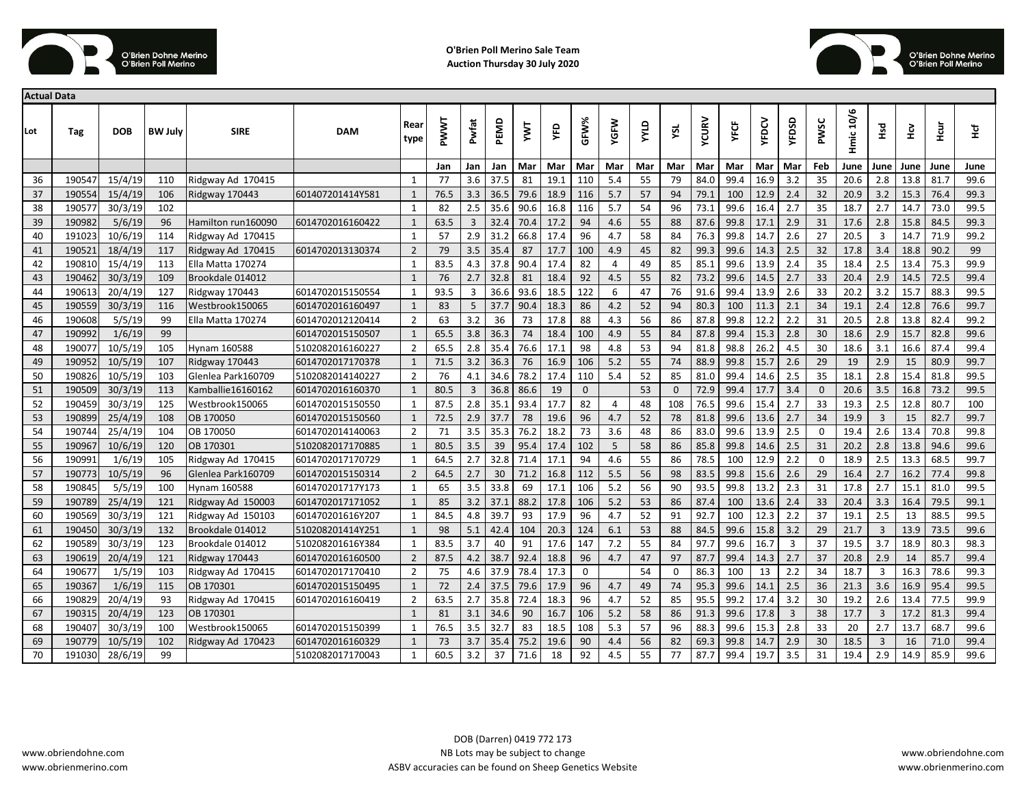



| <b>Actual Data</b> |        |            |                |                       |                  |                |      |       |      |      |      |              |                |     |          |       |             |             |                |             |           |                |      |      |      |
|--------------------|--------|------------|----------------|-----------------------|------------------|----------------|------|-------|------|------|------|--------------|----------------|-----|----------|-------|-------------|-------------|----------------|-------------|-----------|----------------|------|------|------|
| Lot                | Tag    | <b>DOB</b> | <b>BW July</b> | <b>SIRE</b>           | <b>DAM</b>       | Rear<br>type   | PWWT | Pwfat | PEMD | Σ    | ΛŁD  | GFW%         | YGFW           | qти | ysL      | YCURV | <b>YFCF</b> | <b>ABCA</b> | YFDSD          | PWSC        | Hmic 10/6 | Нsd            | ŠЯ   | Hcur | 보    |
|                    |        |            |                |                       |                  |                | Jan  | Jan   | Jan  | Mar  | Mar  | Mar          | Mar            | Mar | Mar      | Mar   | Mar         | Mar         | Mar            | Feb         | June      | June           | June | June | June |
| 36                 | 190547 | 15/4/19    | 110            | Ridgway Ad 170415     |                  | 1              | 77   | 3.6   | 37.5 | 81   | 19.1 | 110          | 5.4            | 55  | 79       | 84.0  | 99.4        | 16.9        | 3.2            | 35          | 20.6      | 2.8            | 13.8 | 81.7 | 99.6 |
| 37                 | 190554 | 15/4/19    | 106            | Ridgway 170443        | 601407201414Y581 | $\mathbf{1}$   | 76.5 | 3.3   | 36.5 | 79.6 | 18.9 | 116          | 5.7            | 57  | 94       | 79.1  | 100         | 12.9        | 2.4            | 32          | 20.9      | 3.2            | 15.3 | 76.4 | 99.3 |
| 38                 | 190577 | 30/3/19    | 102            |                       |                  | $\mathbf{1}$   | 82   | 2.5   | 35.6 | 90.6 | 16.8 | 116          | 5.7            | 54  | 96       | 73.1  | 99.6        | 16.4        | 2.7            | 35          | 18.7      | 2.7            | 14.7 | 73.0 | 99.5 |
| 39                 | 190982 | 5/6/19     | 96             | Hamilton run160090    | 6014702016160422 | $\mathbf{1}$   | 63.5 | 3     | 32.4 | 70.4 | 17.2 | 94           | 4.6            | 55  | 88       | 87.6  | 99.8        | 17.1        | 2.9            | 31          | 17.6      | 2.8            | 15.8 | 84.5 | 99.3 |
| 40                 | 191023 | 10/6/19    | 114            | Ridgway Ad 170415     |                  | $\mathbf{1}$   | 57   | 2.9   | 31.2 | 66.8 | 17.4 | 96           | 4.7            | 58  | 84       | 76.3  | 99.8        | 14.7        | 2.6            | 27          | 20.5      | 3              | 14.7 | 71.9 | 99.2 |
| 41                 | 190521 | 18/4/19    | 117            | Ridgway Ad 170415     | 6014702013130374 | $\overline{2}$ | 79   | 3.5   | 35.4 | 87   | 17.7 | 100          | 4.9            | 45  | 82       | 99.3  | 99.6        | 14.3        | 2.5            | 32          | 17.8      | 3.4            | 18.8 | 90.2 | 99   |
| 42                 | 190810 | 15/4/19    | 113            | Ella Matta 170274     |                  | $\mathbf{1}$   | 83.5 | 4.3   | 37.8 | 90.4 | 17.4 | 82           | $\overline{4}$ | 49  | 85       | 85.1  | 99.6        | 13.9        | 2.4            | 35          | 18.4      | 2.5            | 13.4 | 75.3 | 99.9 |
| 43                 | 190462 | 30/3/19    | 109            | Brookdale 014012      |                  | $\mathbf{1}$   | 76   | 2.7   | 32.8 | 81   | 18.4 | 92           | 4.5            | 55  | 82       | 73.2  | 99.6        | 14.5        | 2.7            | 33          | 20.4      | 2.9            | 14.5 | 72.5 | 99.4 |
| 44                 | 190613 | 20/4/19    | 127            | <b>Ridgway 170443</b> | 6014702015150554 | $\mathbf{1}$   | 93.5 | 3     | 36.6 | 93.6 | 18.5 | 122          | 6              | 47  | 76       | 91.6  | 99.4        | 13.9        | 2.6            | 33          | 20.2      | 3.2            | 15.7 | 88.3 | 99.5 |
| 45                 | 190559 | 30/3/19    | 116            | Westbrook150065       | 6014702016160497 | $\mathbf{1}$   | 83   | 5     | 37.7 | 90.4 | 18.3 | 86           | 4.2            | 52  | 94       | 80.3  | 100         | 11.3        | 2.1            | 34          | 19.1      | 2.4            | 12.8 | 76.6 | 99.7 |
| 46                 | 190608 | 5/5/19     | 99             | Ella Matta 170274     | 6014702012120414 | $\overline{2}$ | 63   | 3.2   | 36   | 73   | 17.8 | 88           | 4.3            | 56  | 86       | 87.8  | 99.8        | 12.2        | 2.2            | 31          | 20.5      | 2.8            | 13.8 | 82.4 | 99.2 |
| 47                 | 190992 | 1/6/19     | 99             |                       | 6014702015150507 | $\mathbf{1}$   | 65.5 | 3.8   | 36.3 | 74   | 18.4 | 100          | 4.9            | 55  | 84       | 87.8  | 99.4        | 15.3        | 2.8            | 30          | 18.6      | 2.9            | 15.7 | 82.8 | 99.6 |
| 48                 | 190077 | 10/5/19    | 105            | Hynam 160588          | 5102082016160227 | $\overline{2}$ | 65.5 | 2.8   | 35.4 | 76.6 | 17.1 | 98           | 4.8            | 53  | 94       | 81.8  | 98.8        | 26.2        | 4.5            | 30          | 18.6      | 3.1            | 16.6 | 87.4 | 99.4 |
| 49                 | 190952 | 10/5/19    | 107            | <b>Ridgway 170443</b> | 6014702017170378 | $\mathbf{1}$   | 71.5 | 3.2   | 36.3 | 76   | 16.9 | 106          | 5.2            | 55  | 74       | 88.9  | 99.8        | 15.7        | 2.6            | 29          | 19        | 2.9            | 15   | 80.9 | 99.7 |
| 50                 | 190826 | 10/5/19    | 103            | Glenlea Park160709    | 5102082014140227 | $\overline{2}$ | 76   | 4.1   | 34.6 | 78.2 | 17.4 | 110          | 5.4            | 52  | 85       | 81.0  | 99.4        | 14.6        | 2.5            | 35          | 18.1      | 2.8            | 15.4 | 81.8 | 99.5 |
| 51                 | 190509 | 30/3/19    | 113            | Kamballie16160162     | 6014702016160370 | $\mathbf{1}$   | 80.5 | 3     | 36.8 | 86.6 | 19   | $\mathbf{0}$ |                | 53  | $\Omega$ | 72.9  | 99.4        | 17.7        | 3.4            | $\Omega$    | 20.6      | 3.5            | 16.8 | 73.2 | 99.5 |
| 52                 | 190459 | 30/3/19    | 125            | Westbrook150065       | 6014702015150550 | 1              | 87.5 | 2.8   | 35.1 | 93.4 | 17.7 | 82           | 4              | 48  | 108      | 76.5  | 99.6        | 15.4        | 2.7            | 33          | 19.3      | 2.5            | 12.8 | 80.7 | 100  |
| 53                 | 190899 | 25/4/19    | 108            | OB 170050             | 6014702015150560 | $\mathbf{1}$   | 72.5 | 2.9   | 37.7 | 78   | 19.6 | 96           | 4.7            | 52  | 78       | 81.8  | 99.6        | 13.6        | 2.7            | 34          | 19.9      | 3              | 15   | 82.7 | 99.7 |
| 54                 | 190744 | 25/4/19    | 104            | OB 170050             | 6014702014140063 | $\overline{2}$ | 71   | 3.5   | 35.3 | 76.2 | 18.2 | 73           | 3.6            | 48  | 86       | 83.0  | 99.6        | 13.9        | 2.5            | $\mathbf 0$ | 19.4      | 2.6            | 13.4 | 70.8 | 99.8 |
| 55                 | 190967 | 10/6/19    | 120            | OB 170301             | 5102082017170885 | $\mathbf{1}$   | 80.5 | 3.5   | 39   | 95.4 | 17.4 | 102          | 5              | 58  | 86       | 85.8  | 99.8        | 14.6        | 2.5            | 31          | 20.2      | 2.8            | 13.8 | 94.6 | 99.6 |
| 56                 | 190991 | 1/6/19     | 105            | Ridgway Ad 170415     | 6014702017170729 | $\mathbf{1}$   | 64.5 | 2.7   | 32.8 | 71.4 | 17.1 | 94           | 4.6            | 55  | 86       | 78.5  | 100         | 12.9        | 2.2            | 0           | 18.9      | 2.5            | 13.3 | 68.5 | 99.7 |
| 57                 | 190773 | 10/5/19    | 96             | Glenlea Park160709    | 6014702015150314 | $\overline{2}$ | 64.5 | 2.7   | 30   | 71.2 | 16.8 | 112          | 5.5            | 56  | 98       | 83.5  | 99.8        | 15.6        | 2.6            | 29          | 16.4      | 2.7            | 16.2 | 77.4 | 99.8 |
| 58                 | 190845 | 5/5/19     | 100            | Hynam 160588          | 601470201717Y173 | $\mathbf{1}$   | 65   | 3.5   | 33.8 | 69   | 17.1 | 106          | 5.2            | 56  | 90       | 93.5  | 99.8        | 13.2        | 2.3            | 31          | 17.8      | 2.7            | 15.1 | 81.0 | 99.5 |
| 59                 | 190789 | 25/4/19    | 121            | Ridgway Ad 150003     | 6014702017171052 | $\mathbf{1}$   | 85   | 3.2   | 37.1 | 88.2 | 17.8 | 106          | 5.2            | 53  | 86       | 87.4  | 100         | 13.6        | 2.4            | 33          | 20.4      | 3.3            | 16.4 | 79.5 | 99.1 |
| 60                 | 190569 | 30/3/19    | 121            | Ridgway Ad 150103     | 601470201616Y207 | $\mathbf{1}$   | 84.5 | 4.8   | 39.7 | 93   | 17.9 | 96           | 4.7            | 52  | 91       | 92.7  | 100         | 12.3        | 2.2            | 37          | 19.1      | 2.5            | 13   | 88.5 | 99.5 |
| 61                 | 190450 | 30/3/19    | 132            | Brookdale 014012      | 510208201414Y251 | $\mathbf{1}$   | 98   | 5.1   | 42.4 | 104  | 20.3 | 124          | 6.1            | 53  | 88       | 84.5  | 99.6        | 15.8        | 3.2            | 29          | 21.7      | 3              | 13.9 | 73.5 | 99.6 |
| 62                 | 190589 | 30/3/19    | 123            | Brookdale 014012      | 510208201616Y384 | $\mathbf{1}$   | 83.5 | 3.7   | 40   | 91   | 17.6 | 147          | 7.2            | 55  | 84       | 97.7  | 99.6        | 16.7        | $\overline{3}$ | 37          | 19.5      | 3.7            | 18.9 | 80.3 | 98.3 |
| 63                 | 190619 | 20/4/19    | 121            | <b>Ridgway 170443</b> | 6014702016160500 | $\overline{2}$ | 87.5 | 4.2   | 38.7 | 92.4 | 18.8 | 96           | 4.7            | 47  | 97       | 87.7  | 99.4        | 14.3        | 2.7            | 37          | 20.8      | 2.9            | 14   | 85.7 | 99.4 |
| 64                 | 190677 | 1/5/19     | 103            | Ridgway Ad 170415     | 6014702017170410 | $\overline{2}$ | 75   | 4.6   | 37.9 | 78.4 | 17.3 | 0            |                | 54  | 0        | 86.3  | 100         | 13          | 2.2            | 34          | 18.7      | 3              | 16.3 | 78.6 | 99.3 |
| 65                 | 190367 | 1/6/19     | 115            | OB 170301             | 6014702015150495 | $\mathbf{1}$   | 72   | 2.4   | 37.5 | 79.6 | 17.9 | 96           | 4.7            | 49  | 74       | 95.3  | 99.6        | 14.1        | 2.5            | 36          | 21.3      | 3.6            | 16.9 | 95.4 | 99.5 |
| 66                 | 190829 | 20/4/19    | 93             | Ridgway Ad 170415     | 6014702016160419 | $\overline{2}$ | 63.5 | 2.7   | 35.8 | 72.4 | 18.3 | 96           | 4.7            | 52  | 85       | 95.5  | 99.2        | 17.4        | 3.2            | 30          | 19.2      | 2.6            | 13.4 | 77.5 | 99.9 |
| 67                 | 190315 | 20/4/19    | 123            | OB 170301             |                  | $\mathbf{1}$   | 81   | 3.1   | 34.6 | 90   | 16.7 | 106          | 5.2            | 58  | 86       | 91.3  | 99.6        | 17.8        | 3              | 38          | 17.7      | $\overline{3}$ | 17.2 | 81.3 | 99.4 |
| 68                 | 190407 | 30/3/19    | 100            | Westbrook150065       | 6014702015150399 | $\mathbf{1}$   | 76.5 | 3.5   | 32.7 | 83   | 18.5 | 108          | 5.3            | 57  | 96       | 88.3  | 99.6        | 15.3        | 2.8            | 33          | 20        | 2.7            | 13.7 | 68.7 | 99.6 |
| 69                 | 190779 | 10/5/19    | 102            | Ridgway Ad 170423     | 6014702016160329 | $\mathbf{1}$   | 73   | 3.7   | 35.4 | 75.2 | 19.6 | 90           | 4.4            | 56  | 82       | 69.3  | 99.8        | 14.7        | 2.9            | 30          | 18.5      | 3              | 16   | 71.0 | 99.4 |
| 70                 | 191030 | 28/6/19    | 99             |                       | 5102082017170043 | $\mathbf{1}$   | 60.5 | 3.2   | 37   | 71.6 | 18   | 92           | 4.5            | 55  | 77       | 87.7  | 99.4        | 19.7        | 3.5            | 31          | 19.4      | 2.9            | 14.9 | 85.9 | 99.6 |